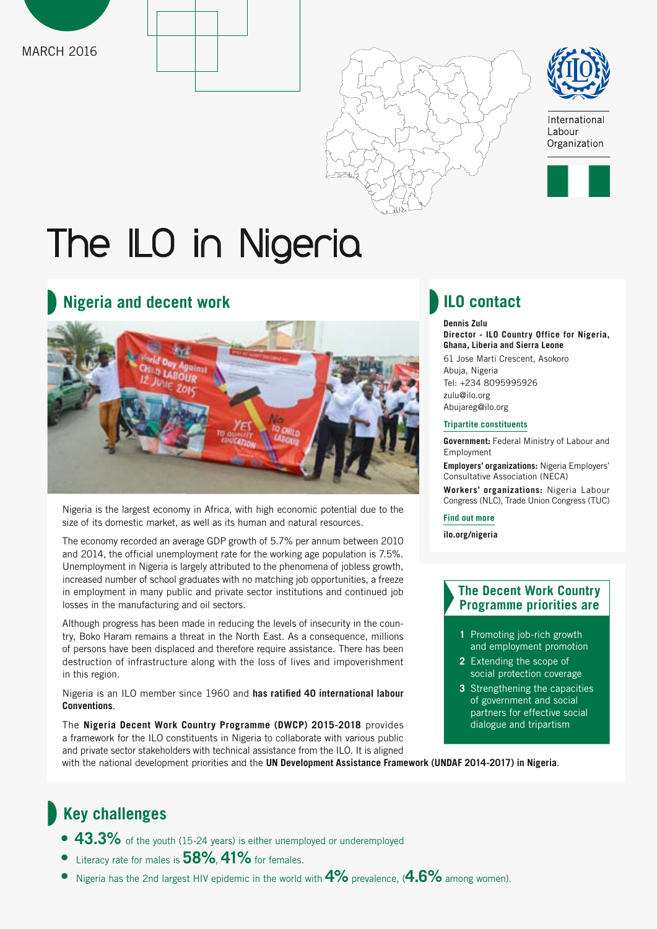







International Labour Organization



# The ILO in Nigeria

## **Nigeria and decent work ILO contact**



Nigeria is the largest economy in Africa, with high economic potential due to the size of its domestic market, as well as its human and natural resources.

The economy recorded an average GDP growth of 5.7% per annum between 2010 and 2014, the official unemployment rate for the working age population is 7.5%. Unemployment in Nigeria is largely attributed to the phenomena of jobless growth, increased number of school graduates with no matching job opportunities, a freeze in employment in many public and private sector institutions and continued job losses in the manufacturing and oil sectors.

Although progress has been made in reducing the levels of insecurity in the country, Boko Haram remains a threat in the North East. As a consequence, millions of persons have been displaced and therefore require assistance. There has been destruction of infrastructure along with the loss of lives and impoverishment in this region.

Nigeria is an ILO member since 1960 and **[has ratified 40 international labour](http://www.ilo.org/dyn/normlex/en/f?p=NORMLEXPUB:11200:0::NO::P11200_COUNTRY_ID:103259)  [Conventions](http://www.ilo.org/dyn/normlex/en/f?p=NORMLEXPUB:11200:0::NO::P11200_COUNTRY_ID:103259)**.

The **[Nigeria Decent Work Country Programme \(DWCP\) 2015-201](http://www.ilo.org/public/english/bureau/program/dwcp/download/nigeria2015-18.pdf)8** provides a framework for the ILO constituents in Nigeria to collaborate with various public and private sector stakeholders with technical assistance from the ILO. It is aligned with the national development priorities and the **[UN Development Assistance Framework \(UNDAF 2014-2017\) in Nigeria](https://undg.org/wp-content/uploads/2015/04/Nigeria-United-Nations-Development-Assistance-Framework-III-2014-2017.pdf)**.

**Dennis Zulu Director - ILO Country Office for Nigeria, Ghana, Liberia and Sierra Leone**

61 Jose Marti Crescent, Asokoro Abuja, Nigeria Tel: +234 8095995926 zulu@ilo.org Abujareg@ilo.org

#### **Tripartite constituents**

**Government:** [Federal Ministry of Labour and](http://www.labour.gov.ng/)  [Employment](http://www.labour.gov.ng/)

**Employers' organizations:** [Nigeria Employers'](http://www.neca.org.ng/)  [Consultative Association \(NECA\)](http://www.neca.org.ng/)

**Workers' organizations:** Nigeria Labour Congress (NLC), [Trade Union Congress \(TUC\)](http://www.tucng.org/)

#### **Find out more**

**[ilo.org/nigeria](http://www.ilo.org/nigeria)**

### **The Decent Work Country Programme priorities are**

- **1** Promoting job-rich growth and employment promotion
- **2** Extending the scope of social protection coverage
- **3** Strengthening the capacities of government and social partners for effective social dialogue and tripartism

## **Key challenges**

- **• 43.3%** of the youth (15-24 years) is either unemployed or underemployed
- **•** Literacy rate for males is **58%**, **41%** for females.
- **•** Nigeria has the 2nd largest HIV epidemic in the world with **4%** prevalence, (**4.6%** among women).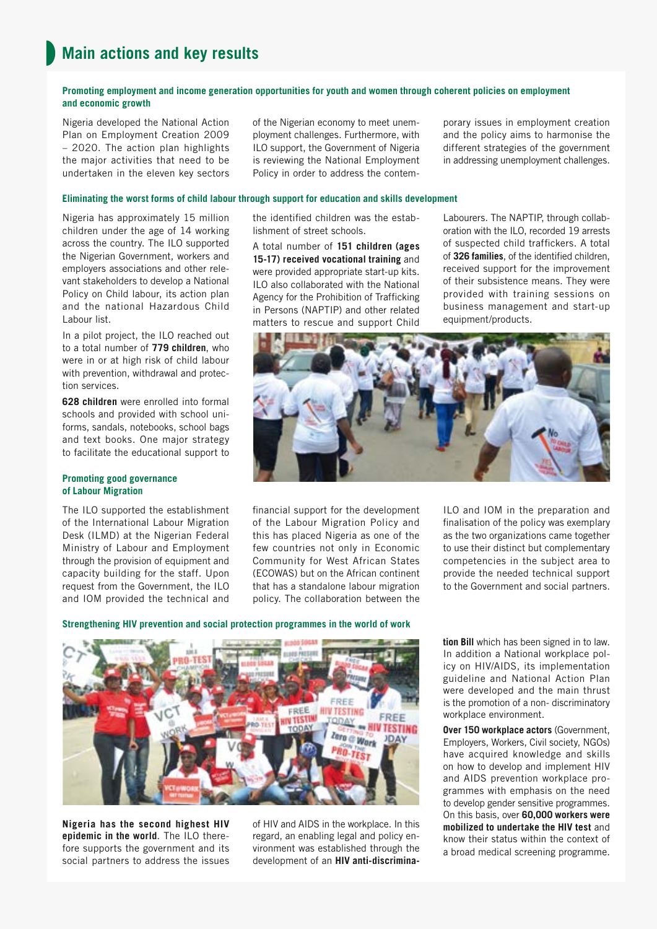#### **Promoting employment and income generation opportunities for youth and women through coherent policies on employment and economic growth**

Nigeria developed the National Action Plan on Employment Creation 2009 – 2020. The action plan highlights the major activities that need to be undertaken in the eleven key sectors

of the Nigerian economy to meet unemployment challenges. Furthermore, with ILO support, the Government of Nigeria is reviewing the National Employment Policy in order to address the contemporary issues in employment creation and the policy aims to harmonise the different strategies of the government in addressing unemployment challenges.

#### **Eliminating the worst forms of child labour through support for education and skills development**

Nigeria has approximately 15 million children under the age of 14 working across the country. The ILO supported the Nigerian Government, workers and employers associations and other relevant stakeholders to develop a National Policy on Child labour, its action plan and the national Hazardous Child Labour list.

In a pilot project, the ILO reached out to a total number of **779 children**, who were in or at high risk of child labour with prevention, withdrawal and protection services.

**628 children** were enrolled into formal schools and provided with school uniforms, sandals, notebooks, school bags and text books. One major strategy to facilitate the educational support to

#### **Promoting good governance of Labour Migration**

The ILO supported the establishment of the International Labour Migration Desk (ILMD) at the Nigerian Federal Ministry of Labour and Employment through the provision of equipment and capacity building for the staff. Upon request from the Government, the ILO and IOM provided the technical and

the identified children was the establishment of street schools.

A total number of **151 children (ages 15-17) received vocational training** and were provided appropriate start-up kits. ILO also collaborated with the National Agency for the Prohibition of Trafficking in Persons (NAPTIP) and other related matters to rescue and support Child

Labourers. The NAPTIP, through collaboration with the ILO, recorded 19 arrests of suspected child traffickers. A total of **326 families**, of the identified children, received support for the improvement of their subsistence means. They were provided with training sessions on business management and start-up equipment/products.



financial support for the development of the Labour Migration Policy and this has placed Nigeria as one of the few countries not only in Economic Community for West African States (ECOWAS) but on the African continent that has a standalone labour migration policy. The collaboration between the

ILO and IOM in the preparation and finalisation of the policy was exemplary as the two organizations came together to use their distinct but complementary competencies in the subject area to provide the needed technical support to the Government and social partners.

#### **Strengthening HIV prevention and social protection programmes in the world of work**



**Nigeria has the second highest HIV epidemic in the world**. The ILO therefore supports the government and its social partners to address the issues

of HIV and AIDS in the workplace. In this regard, an enabling legal and policy environment was established through the development of an **HIV anti-discrimina-** **tion Bill** which has been signed in to law. In addition a National workplace policy on HIV/AIDS, its implementation guideline and National Action Plan were developed and the main thrust is the promotion of a non- discriminatory workplace environment.

**Over 150 workplace actors** (Government, Employers, Workers, Civil society, NGOs) have acquired knowledge and skills on how to develop and implement HIV and AIDS prevention workplace programmes with emphasis on the need to develop gender sensitive programmes. On this basis, over **60,000 workers were mobilized to undertake the HIV test** and know their status within the context of a broad medical screening programme.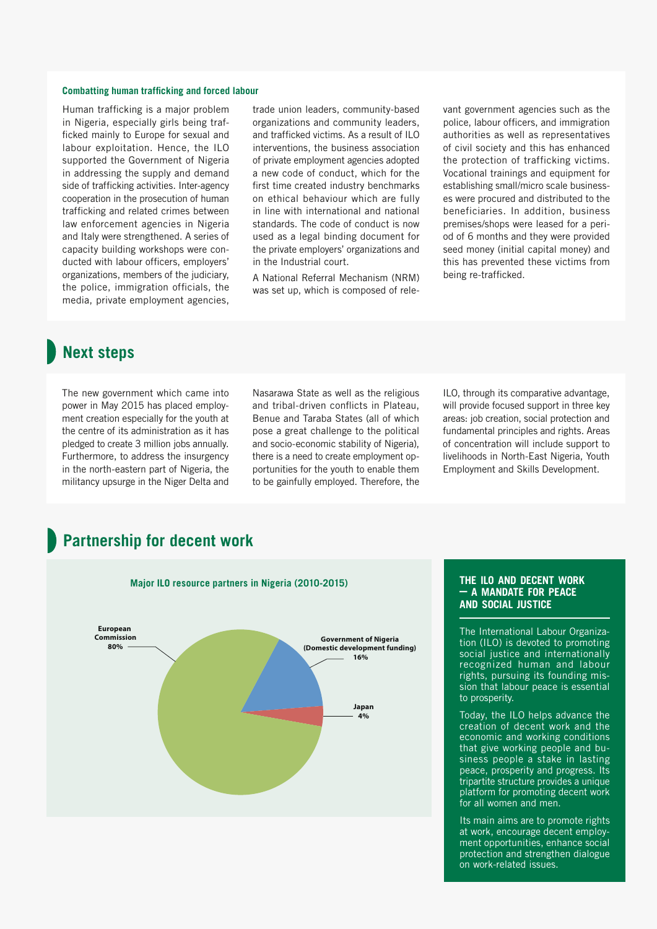#### **Combatting human trafficking and forced labour**

Human trafficking is a major problem in Nigeria, especially girls being trafficked mainly to Europe for sexual and labour exploitation. Hence, the ILO supported the Government of Nigeria in addressing the supply and demand side of trafficking activities. Inter-agency cooperation in the prosecution of human trafficking and related crimes between law enforcement agencies in Nigeria and Italy were strengthened. A series of capacity building workshops were conducted with labour officers, employers' organizations, members of the judiciary, the police, immigration officials, the media, private employment agencies,

trade union leaders, community-based organizations and community leaders, and trafficked victims. As a result of ILO interventions, the business association of private employment agencies adopted a new code of conduct, which for the first time created industry benchmarks on ethical behaviour which are fully in line with international and national standards. The code of conduct is now used as a legal binding document for the private employers' organizations and in the Industrial court.

A National Referral Mechanism (NRM) was set up, which is composed of relevant government agencies such as the police, labour officers, and immigration authorities as well as representatives of civil society and this has enhanced the protection of trafficking victims. Vocational trainings and equipment for establishing small/micro scale businesses were procured and distributed to the beneficiaries. In addition, business premises/shops were leased for a period of 6 months and they were provided seed money (initial capital money) and this has prevented these victims from being re-trafficked.

## **Next steps**

The new government which came into power in May 2015 has placed employment creation especially for the youth at the centre of its administration as it has pledged to create 3 million jobs annually. Furthermore, to address the insurgency in the north-eastern part of Nigeria, the militancy upsurge in the Niger Delta and

Nasarawa State as well as the religious and tribal-driven conflicts in Plateau, Benue and Taraba States (all of which pose a great challenge to the political and socio-economic stability of Nigeria), there is a need to create employment opportunities for the youth to enable them to be gainfully employed. Therefore, the

ILO, through its comparative advantage, will provide focused support in three key areas: job creation, social protection and fundamental principles and rights. Areas of concentration will include support to livelihoods in North-East Nigeria, Youth Employment and Skills Development.

## **Partnership for decent work**



#### **the ilo and decent work – a mandate for peace and social justice**

The International Labour Organization (ILO) is devoted to promoting social justice and internationally recognized human and labour rights, pursuing its founding mission that labour peace is essential to prosperity.

Today, the ILO helps advance the creation of decent work and the economic and working conditions that give working people and business people a stake in lasting peace, prosperity and progress. Its tripartite structure provides a unique platform for promoting decent work for all women and men.

Its main aims are to promote rights at work, encourage decent employment opportunities, enhance social protection and strengthen dialogue on work-related issues.